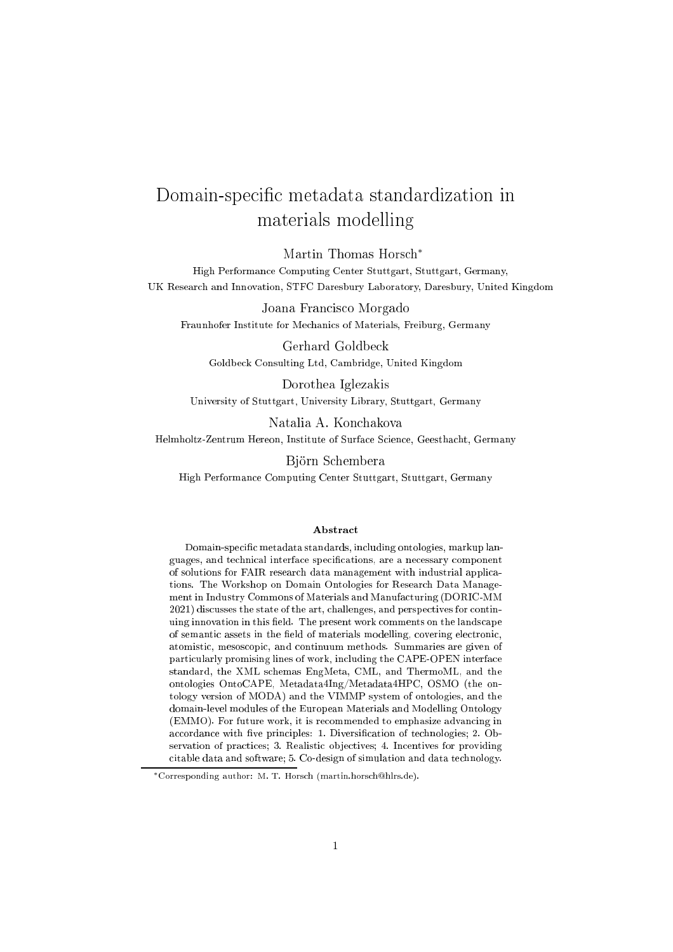# Domain-specific metadata standardization in materials modelling

Martin Thomas Hors
h<sup>∗</sup>

High Performan
e Computing Center Stuttgart, Stuttgart, Germany, UK Resear
h and Innovation, STFC Daresbury Laboratory, Daresbury, United Kingdom

Joana Fran
is
o Morgado Fraunhofer Institute for Me
hani
s of Materials, Freiburg, Germany

Gerhard Goldbe
k Goldbe
k Consulting Ltd, Cambridge, United Kingdom

Dorothea Iglezakis University of Stuttgart, University Library, Stuttgart, Germany

Natalia A. Kon
hakova

Helmholtz-Zentrum Hereon, Institute of Surface Science, Geesthacht, Germany

Björn S
hembera

High Performan
e Computing Center Stuttgart, Stuttgart, Germany

#### Abstra
t

Domain-specific metadata standards, including ontologies, markup languages, and technical interface specifications, are a necessary component of solutions for FAIR resear
h data management with industrial appli
ations. The Workshop on Domain Ontologies for Resear
h Data Management in Industry Commons of Materials and Manufacturing (DORIC-MM 2021) discusses the state of the art, challenges, and perspectives for continuing innovation in this field. The present work comments on the landscape of semantic assets in the field of materials modelling, covering electronic, atomisti
, mesos
opi
, and ontinuum methods. Summaries are given of particularly promising lines of work, including the CAPE-OPEN interface standard, the XML s
hemas EngMeta, CML, and ThermoML, and the ontologies OntoCAPE, Metadata4Ing/Metadata4HPC, OSMO (the ontology version of MODA) and the VIMMP system of ontologies, and the domain-level modules of the European Materials and Modelling Ontology (EMMO). For future work, it is recommended to emphasize advancing in accordance with five principles: 1. Diversification of technologies; 2. Observation of practices; 3. Realistic objectives; 4. Incentives for providing itable data and software; 5. Co-design of simulation and data te
hnology.

<sup>\*</sup>Corresponding author: M. T. Horsch (martin.horsch@hlrs.de).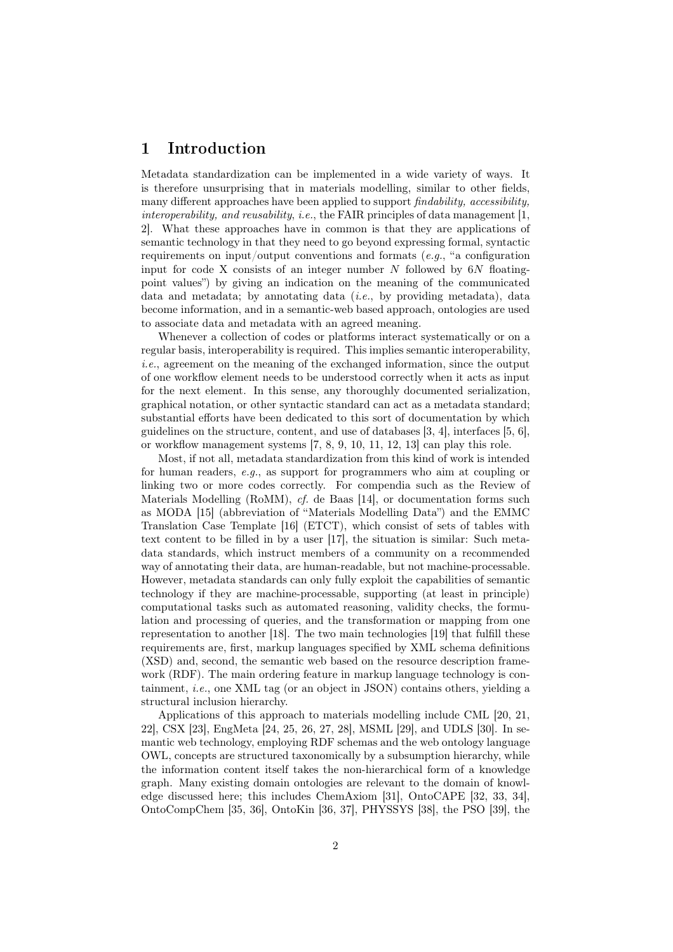# 1 Introduction

Metadata standardization can be implemented in a wide variety of ways. It is therefore unsurprising that in materials modelling, similar to other fields, many different approaches have been applied to support *findability, accessibility,* interoperability, and reusability, i.e., the FAIR principles of data management  $[1,$ 2]. What these approaches have in common is that they are applications of semantic technology in that they need to go beyond expressing formal, syntactic requirements on input/output conventions and formats  $(e.g., "a configuration$ input for code X consists of an integer number  $N$  followed by  $6N$  floatingpoint values") by giving an indication on the meaning of the communicated data and metadata; by annotating data  $(i.e.,$  by providing metadata), data become information, and in a semantic-web based approach, ontologies are used to associate data and metadata with an agreed meaning.

Whenever a collection of codes or platforms interact systematically or on a regular basis, interoperability is required. This implies semantic interoperability, i.e., agreement on the meaning of the exchanged information, since the output of one workflow element needs to be understood correctly when it acts as input for the next element. In this sense, any thoroughly documented serialization, graphical notation, or other syntactic standard can act as a metadata standard; substantial efforts have been dedicated to this sort of documentation by which guidelines on the structure, content, and use of databases [3, 4], interfaces [5, 6], or workflow management systems [7, 8, 9, 10, 11, 12, 13] can play this role.

Most, if not all, metadata standardization from this kind of work is intended for human readers, e.g., as support for programmers who aim at coupling or linking two or more codes correctly. For compendia such as the Review of Materials Modelling (RoMM), cf. de Baas [14], or documentation forms such as MODA [15] (abbreviation of "Materials Modelling Data") and the EMMC Translation Case Template [16] (ETCT), which consist of sets of tables with text content to be filled in by a user [17], the situation is similar: Such metadata standards, which instruct members of a community on a recommended way of annotating their data, are human-readable, but not machine-processable. However, metadata standards can only fully exploit the capabilities of semantic technology if they are machine-processable, supporting (at least in principle) computational tasks such as automated reasoning, validity checks, the formulation and processing of queries, and the transformation or mapping from one representation to another [18]. The two main technologies [19] that fulfill these requirements are, first, markup languages specified by XML schema definitions (XSD) and, second, the semantic web based on the resource description framework (RDF). The main ordering feature in markup language technology is containment, *i.e.*, one XML tag (or an object in JSON) contains others, yielding a structural inclusion hierarchy.

Applications of this approach to materials modelling include CML [20, 21, 22], CSX [23], EngMeta [24, 25, 26, 27, 28], MSML [29], and UDLS [30]. In semantic web technology, employing RDF schemas and the web ontology language OWL, concepts are structured taxonomically by a subsumption hierarchy, while the information content itself takes the non-hierarchical form of a knowledge graph. Many existing domain ontologies are relevant to the domain of knowledge discussed here; this includes ChemAxiom [31], OntoCAPE [32, 33, 34], OntoCompChem [35, 36], OntoKin [36, 37], PHYSSYS [38], the PSO [39], the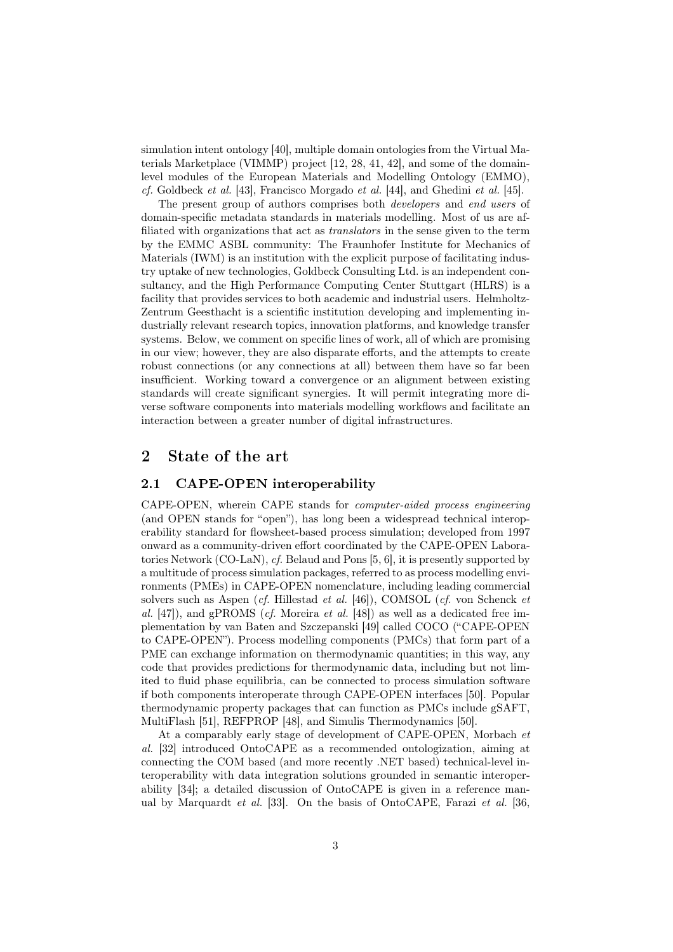simulation intent ontology [40], multiple domain ontologies from the Virtual Materials Marketplace (VIMMP) project [12, 28, 41, 42], and some of the domainlevel modules of the European Materials and Modelling Ontology (EMMO), cf. Goldbeck et al. [43], Francisco Morgado et al. [44], and Ghedini et al. [45].

The present group of authors comprises both developers and end users of domain-specific metadata standards in materials modelling. Most of us are affiliated with organizations that act as *translators* in the sense given to the term by the EMMC ASBL community: The Fraunhofer Institute for Mechanics of Materials (IWM) is an institution with the explicit purpose of facilitating industry uptake of new technologies, Goldbeck Consulting Ltd. is an independent consultancy, and the High Performance Computing Center Stuttgart (HLRS) is a facility that provides services to both academic and industrial users. Helmholtz-Zentrum Geesthacht is a scientific institution developing and implementing industrially relevant research topics, innovation platforms, and knowledge transfer systems. Below, we comment on specific lines of work, all of which are promising in our view; however, they are also disparate efforts, and the attempts to create robust connections (or any connections at all) between them have so far been insufficient. Working toward a convergence or an alignment between existing standards will create significant synergies. It will permit integrating more diverse software components into materials modelling workflows and facilitate an interaction between a greater number of digital infrastructures.

# <sup>2</sup> State of the art

# 2.1 CAPE-OPEN interoperability

CAPE-OPEN, wherein CAPE stands for computer-aided process engineering (and OPEN stands for "open"), has long been a widespread technical interoperability standard for flowsheet-based process simulation; developed from 1997 onward as a community-driven effort coordinated by the CAPE-OPEN Laboratories Network (CO-LaN), cf. Belaud and Pons [5, 6], it is presently supported by a multitude of process simulation packages, referred to as process modelling environments (PMEs) in CAPE-OPEN nomenclature, including leading commercial solvers such as Aspen (cf. Hillestad et al. [46]), COMSOL (cf. von Schenck et al.  $[47]$ , and gPROMS (*cf.* Moreira *et al.*  $[48]$ ) as well as a dedicated free implementation by van Baten and Szczepanski [49] called COCO ("CAPE-OPEN to CAPE-OPEN"). Process modelling components (PMCs) that form part of a PME can exchange information on thermodynamic quantities; in this way, any code that provides predictions for thermodynamic data, including but not limited to fluid phase equilibria, can be connected to process simulation software if both components interoperate through CAPE-OPEN interfaces [50]. Popular thermodynamic property packages that can function as PMCs include gSAFT, MultiFlash [51], REFPROP [48], and Simulis Thermodynamics [50].

At a comparably early stage of development of CAPE-OPEN, Morbach et al. [32] introduced OntoCAPE as a recommended ontologization, aiming at connecting the COM based (and more recently .NET based) technical-level interoperability with data integration solutions grounded in semantic interoperability [34]; a detailed discussion of OntoCAPE is given in a reference manual by Marquardt *et al.* [33]. On the basis of OntoCAPE, Farazi *et al.* [36,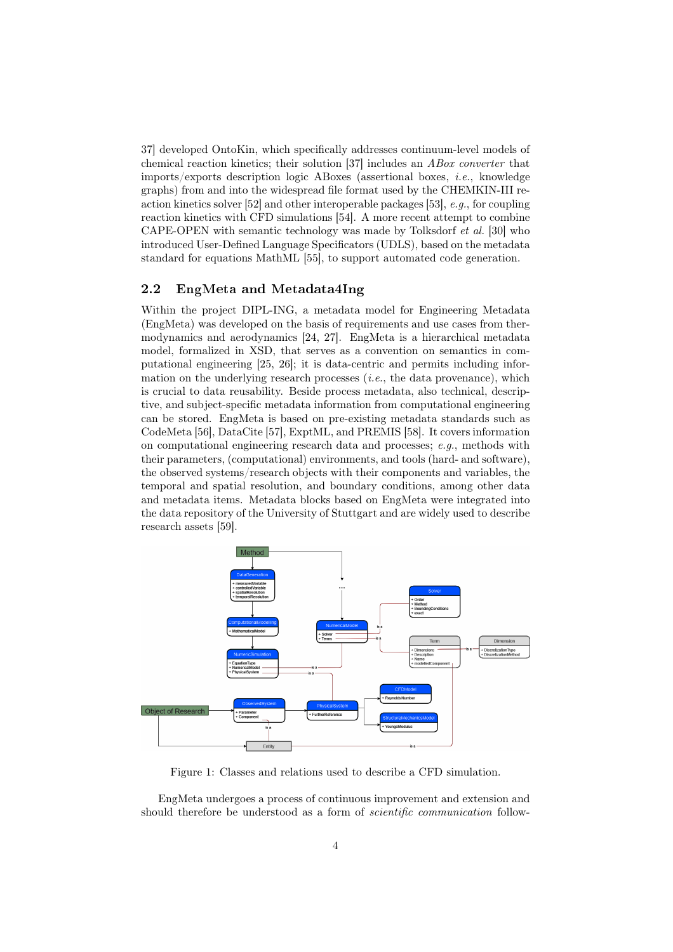37] developed OntoKin, which specifically addresses continuum-level models of chemical reaction kinetics; their solution [37] includes an ABox converter that imports/exports description logic ABoxes (assertional boxes, i.e., knowledge graphs) from and into the widespread file format used by the CHEMKIN-III reaction kinetics solver [52] and other interoperable packages [53], e.g., for coupling reaction kinetics with CFD simulations [54]. A more recent attempt to combine CAPE-OPEN with semantic technology was made by Tolksdorf et al. [30] who introduced User-Defined Language Specificators (UDLS), based on the metadata standard for equations MathML [55], to support automated code generation.

# 2.2 EngMeta and Metadata4Ing

Within the project DIPL-ING, a metadata model for Engineering Metadata (EngMeta) was developed on the basis of requirements and use cases from thermodynamics and aerodynamics [24, 27]. EngMeta is a hierarchical metadata model, formalized in XSD, that serves as a convention on semantics in computational engineering [25, 26]; it is data-centric and permits including information on the underlying research processes  $(i.e.,$  the data provenance), which is crucial to data reusability. Beside process metadata, also technical, descriptive, and subject-specific metadata information from computational engineering can be stored. EngMeta is based on pre-existing metadata standards such as CodeMeta [56], DataCite [57], ExptML, and PREMIS [58]. It covers information on computational engineering research data and processes; e.g., methods with their parameters, (computational) environments, and tools (hard- and software), the observed systems/research objects with their components and variables, the temporal and spatial resolution, and boundary conditions, among other data and metadata items. Metadata blocks based on EngMeta were integrated into the data repository of the University of Stuttgart and are widely used to describe research assets [59].



Figure 1: Classes and relations used to describe a CFD simulation.

EngMeta undergoes a process of continuous improvement and extension and should therefore be understood as a form of *scientific communication* follow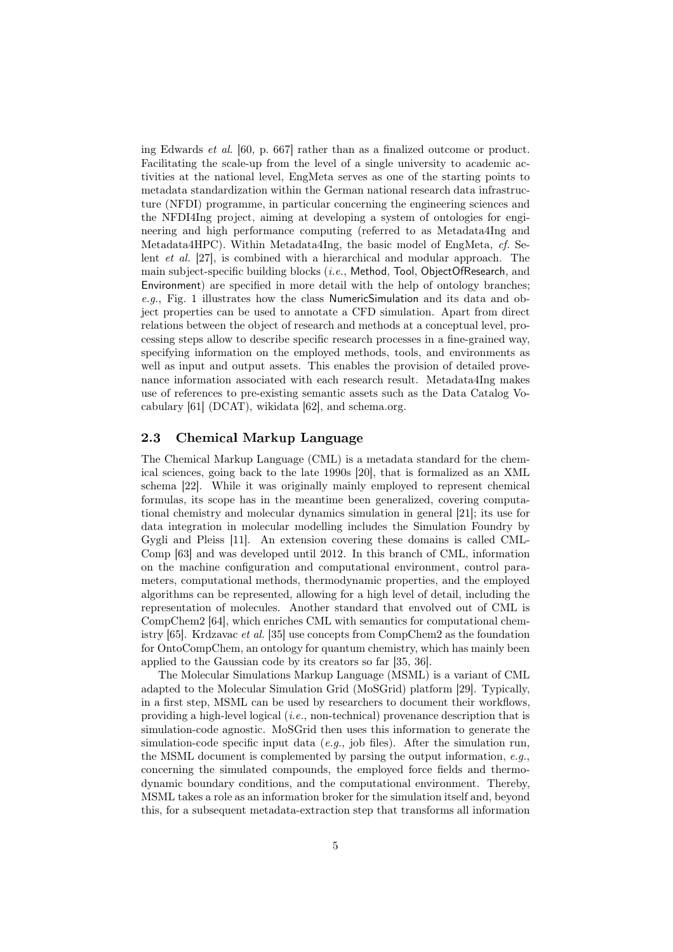ing Edwards et al. [60, p. 667] rather than as a finalized outcome or product. Facilitating the scale-up from the level of a single university to academic activities at the national level, EngMeta serves as one of the starting points to metadata standardization within the German national research data infrastructure (NFDI) programme, in particular concerning the engineering sciences and the NFDI4Ing project, aiming at developing a system of ontologies for engineering and high performance computing (referred to as Metadata4Ing and Metadata4HPC). Within Metadata4Ing, the basic model of EngMeta, cf. Selent et al. [27], is combined with a hierarchical and modular approach. The main subject-specific building blocks (*i.e.*, Method, Tool, ObjectOfResearch, and Environment) are specified in more detail with the help of ontology branches; e.g., Fig. 1 illustrates how the class NumericSimulation and its data and object properties can be used to annotate a CFD simulation. Apart from direct relations between the object of research and methods at a conceptual level, processing steps allow to describe specific research processes in a fine-grained way, specifying information on the employed methods, tools, and environments as well as input and output assets. This enables the provision of detailed provenance information associated with each research result. Metadata4Ing makes use of references to pre-existing semantic assets such as the Data Catalog Vocabulary [61] (DCAT), wikidata [62], and schema.org.

# 2.3 Chemi
al Markup Language

The Chemical Markup Language (CML) is a metadata standard for the chemical sciences, going back to the late 1990s [20], that is formalized as an XML schema [22]. While it was originally mainly employed to represent chemical formulas, its scope has in the meantime been generalized, covering computational chemistry and molecular dynamics simulation in general [21]; its use for data integration in molecular modelling includes the Simulation Foundry by Gygli and Pleiss [11]. An extension covering these domains is called CML-Comp [63] and was developed until 2012. In this branch of CML, information on the machine configuration and computational environment, control parameters, computational methods, thermodynamic properties, and the employed algorithms can be represented, allowing for a high level of detail, including the representation of molecules. Another standard that envolved out of CML is CompChem2 [64], which enriches CML with semantics for computational chemistry [65]. Krdzavac et al. [35] use concepts from CompChem2 as the foundation for OntoCompChem, an ontology for quantum chemistry, which has mainly been applied to the Gaussian code by its creators so far [35, 36].

The Molecular Simulations Markup Language (MSML) is a variant of CML adapted to the Molecular Simulation Grid (MoSGrid) platform [29]. Typically, in a first step, MSML can be used by researchers to document their workflows, providing a high-level logical (i.e., non-technical) provenance description that is simulation-code agnostic. MoSGrid then uses this information to generate the simulation-code specific input data (e.g., job files). After the simulation run, the MSML document is complemented by parsing the output information, e.g., concerning the simulated compounds, the employed force fields and thermodynamic boundary conditions, and the computational environment. Thereby, MSML takes a role as an information broker for the simulation itself and, beyond this, for a subsequent metadata-extraction step that transforms all information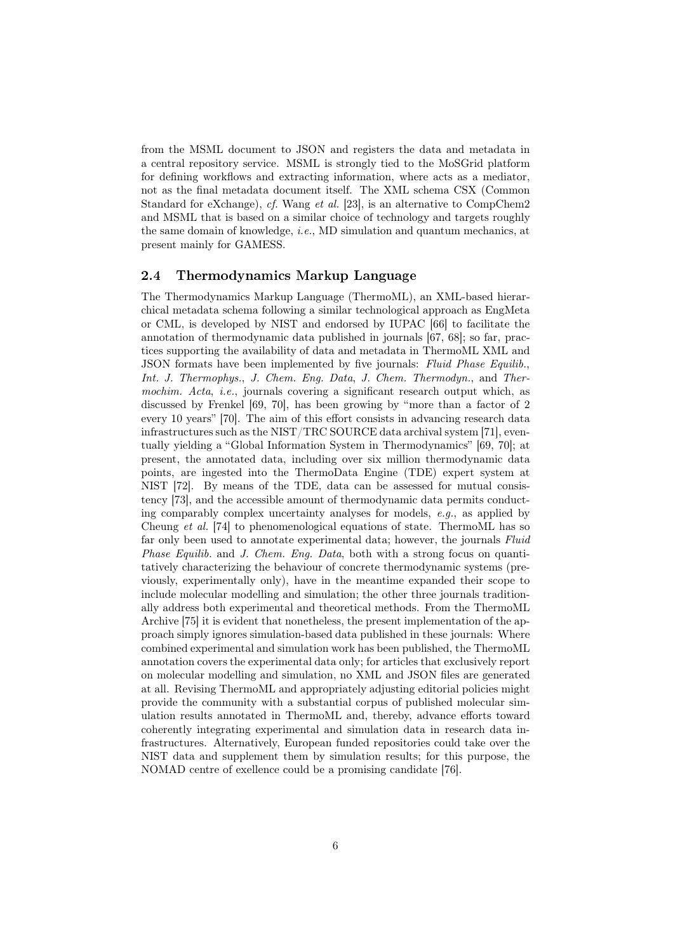from the MSML document to JSON and registers the data and metadata in a central repository service. MSML is strongly tied to the MoSGrid platform for defining workflows and extracting information, where acts as a mediator, not as the final metadata document itself. The XML schema CSX (Common Standard for eXchange), cf. Wang et al. [23], is an alternative to CompChem2 and MSML that is based on a similar choice of technology and targets roughly the same domain of knowledge, *i.e.*, MD simulation and quantum mechanics, at present mainly for GAMESS.

### 2.4 Thermodynami
s Markup Language

The Thermodynamics Markup Language (ThermoML), an XML-based hierarchical metadata schema following a similar technological approach as EngMeta or CML, is developed by NIST and endorsed by IUPAC [66] to facilitate the annotation of thermodynamic data published in journals [67, 68]; so far, practices supporting the availability of data and metadata in ThermoML XML and JSON formats have been implemented by five journals: Fluid Phase Equilib., Int. J. Thermophys., J. Chem. Eng. Data, J. Chem. Thermodyn., and Thermochim. Acta, i.e., journals covering a significant research output which, as discussed by Frenkel [69, 70], has been growing by "more than a factor of 2 every 10 years" [70]. The aim of this effort consists in advancing research data infrastructures such as the NIST/TRC SOURCE data archival system [71], eventually yielding a "Global Information System in Thermodynamics" [69, 70]; at present, the annotated data, including over six million thermodynamic data points, are ingested into the ThermoData Engine (TDE) expert system at NIST [72]. By means of the TDE, data can be assessed for mutual consistency [73], and the accessible amount of thermodynamic data permits conducting comparably complex uncertainty analyses for models,  $e.g.,$  as applied by Cheung et al. [74] to phenomenological equations of state. ThermoML has so far only been used to annotate experimental data; however, the journals Fluid Phase Equilib. and J. Chem. Eng. Data, both with a strong focus on quantitatively characterizing the behaviour of concrete thermodynamic systems (previously, experimentally only), have in the meantime expanded their scope to include molecular modelling and simulation; the other three journals traditionally address both experimental and theoretical methods. From the ThermoML Archive [75] it is evident that nonetheless, the present implementation of the approach simply ignores simulation-based data published in these journals: Where combined experimental and simulation work has been published, the ThermoML annotation covers the experimental data only; for articles that exclusively report on molecular modelling and simulation, no XML and JSON files are generated at all. Revising ThermoML and appropriately adjusting editorial policies might provide the community with a substantial corpus of published molecular simulation results annotated in ThermoML and, thereby, advance efforts toward coherently integrating experimental and simulation data in research data infrastructures. Alternatively, European funded repositories could take over the NIST data and supplement them by simulation results; for this purpose, the NOMAD centre of exellence could be a promising candidate [76].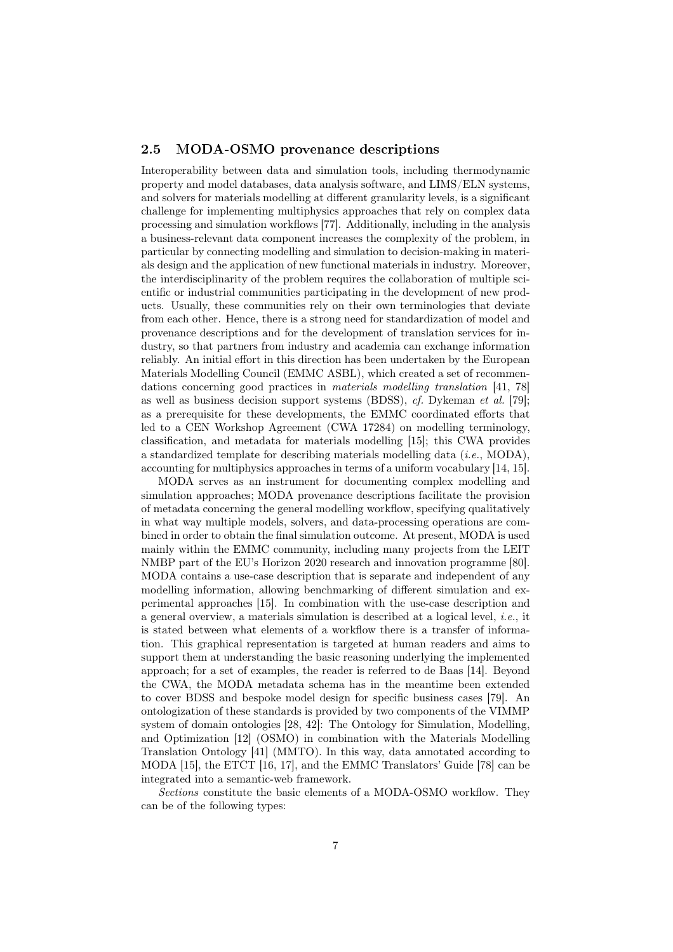#### $2.5$ MODA-OSMO provenance descriptions

Interoperability between data and simulation tools, including thermodynamic property and model databases, data analysis software, and LIMS/ELN systems, and solvers for materials modelling at different granularity levels, is a significant challenge for implementing multiphysics approaches that rely on complex data processing and simulation workflows [77]. Additionally, including in the analysis a business-relevant data component increases the complexity of the problem, in particular by connecting modelling and simulation to decision-making in materials design and the application of new functional materials in industry. Moreover, the interdisciplinarity of the problem requires the collaboration of multiple scientific or industrial communities participating in the development of new products. Usually, these communities rely on their own terminologies that deviate from each other. Hence, there is a strong need for standardization of model and provenance descriptions and for the development of translation services for industry, so that partners from industry and academia can exchange information reliably. An initial effort in this direction has been undertaken by the European Materials Modelling Council (EMMC ASBL), which created a set of recommendations concerning good practices in materials modelling translation [41, 78] as well as business decision support systems (BDSS), cf. Dykeman et al. [79]; as a prerequisite for these developments, the EMMC coordinated efforts that led to a CEN Workshop Agreement (CWA 17284) on modelling terminology, classification, and metadata for materials modelling [15]; this CWA provides a standardized template for describing materials modelling data (i.e., MODA), accounting for multiphysics approaches in terms of a uniform vocabulary [14, 15].

MODA serves as an instrument for documenting complex modelling and simulation approaches; MODA provenance descriptions facilitate the provision of metadata concerning the general modelling workflow, specifying qualitatively in what way multiple models, solvers, and data-processing operations are combined in order to obtain the final simulation outcome. At present, MODA is used mainly within the EMMC community, including many projects from the LEIT NMBP part of the EU's Horizon 2020 research and innovation programme [80]. MODA contains a use-case description that is separate and independent of any modelling information, allowing benchmarking of different simulation and experimental approaches [15]. In combination with the use-case description and a general overview, a materials simulation is described at a logical level, i.e., it is stated between what elements of a workflow there is a transfer of information. This graphical representation is targeted at human readers and aims to support them at understanding the basic reasoning underlying the implemented approach; for a set of examples, the reader is referred to de Baas [14]. Beyond the CWA, the MODA metadata schema has in the meantime been extended to cover BDSS and bespoke model design for specific business cases [79]. An ontologization of these standards is provided by two components of the VIMMP system of domain ontologies [28, 42]: The Ontology for Simulation, Modelling, and Optimization [12] (OSMO) in combination with the Materials Modelling Translation Ontology [41] (MMTO). In this way, data annotated according to MODA [15], the ETCT [16, 17], and the EMMC Translators' Guide [78] can be integrated into a semantic-web framework.

Sections constitute the basic elements of a MODA-OSMO workflow. They can be of the following types: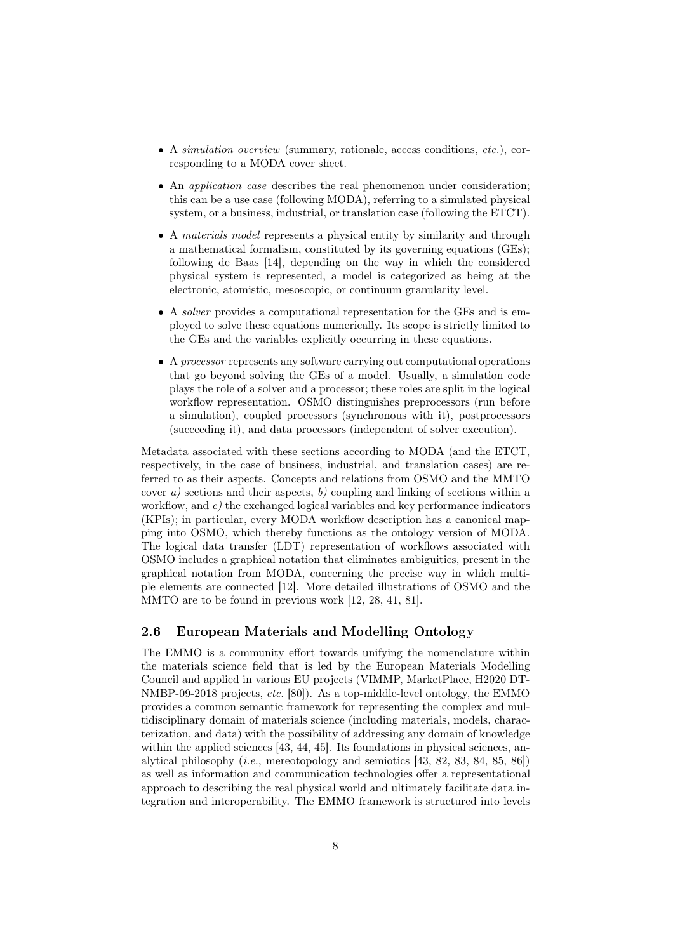- A *simulation overview* (summary, rationale, access conditions, *etc.*), corresponding to a MODA cover sheet.
- An application case describes the real phenomenon under consideration; this can be a use case (following MODA), referring to a simulated physical system, or a business, industrial, or translation case (following the ETCT).
- A materials model represents a physical entity by similarity and through a mathematical formalism, constituted by its governing equations (GEs); following de Baas [14], depending on the way in which the considered physical system is represented, a model is categorized as being at the electronic, atomistic, mesoscopic, or continuum granularity level.
- A solver provides a computational representation for the GEs and is employed to solve these equations numerically. Its scope is strictly limited to the GEs and the variables explicitly occurring in these equations.
- A processor represents any software carrying out computational operations that go beyond solving the GEs of a model. Usually, a simulation code plays the role of a solver and a processor; these roles are split in the logical workflow representation. OSMO distinguishes preprocessors (run before a simulation), coupled processors (synchronous with it), postprocessors (succeeding it), and data processors (independent of solver execution).

Metadata associated with these sections according to MODA (and the ETCT, respectively, in the case of business, industrial, and translation cases) are referred to as their aspects. Concepts and relations from OSMO and the MMTO cover a) sections and their aspects, b) coupling and linking of sections within a workflow, and  $c$ ) the exchanged logical variables and key performance indicators (KPIs); in particular, every MODA workflow description has a canonical mapping into OSMO, which thereby functions as the ontology version of MODA. The logical data transfer (LDT) representation of workflows associated with OSMO includes a graphical notation that eliminates ambiguities, present in the graphical notation from MODA, concerning the precise way in which multiple elements are connected [12]. More detailed illustrations of OSMO and the MMTO are to be found in previous work [12, 28, 41, 81].

# 2.6 European Materials and Modelling Ontology

The EMMO is a community effort towards unifying the nomenclature within the materials science field that is led by the European Materials Modelling Council and applied in various EU projects (VIMMP, MarketPlace, H2020 DT-NMBP-09-2018 projects, etc. [80]). As a top-middle-level ontology, the EMMO provides a common semantic framework for representing the complex and multidisciplinary domain of materials science (including materials, models, characterization, and data) with the possibility of addressing any domain of knowledge within the applied sciences [43, 44, 45]. Its foundations in physical sciences, analytical philosophy  $(i.e.,$  mereotopology and semiotics  $[43, 82, 83, 84, 85, 86]$ as well as information and communication technologies offer a representational approach to describing the real physical world and ultimately facilitate data integration and interoperability. The EMMO framework is structured into levels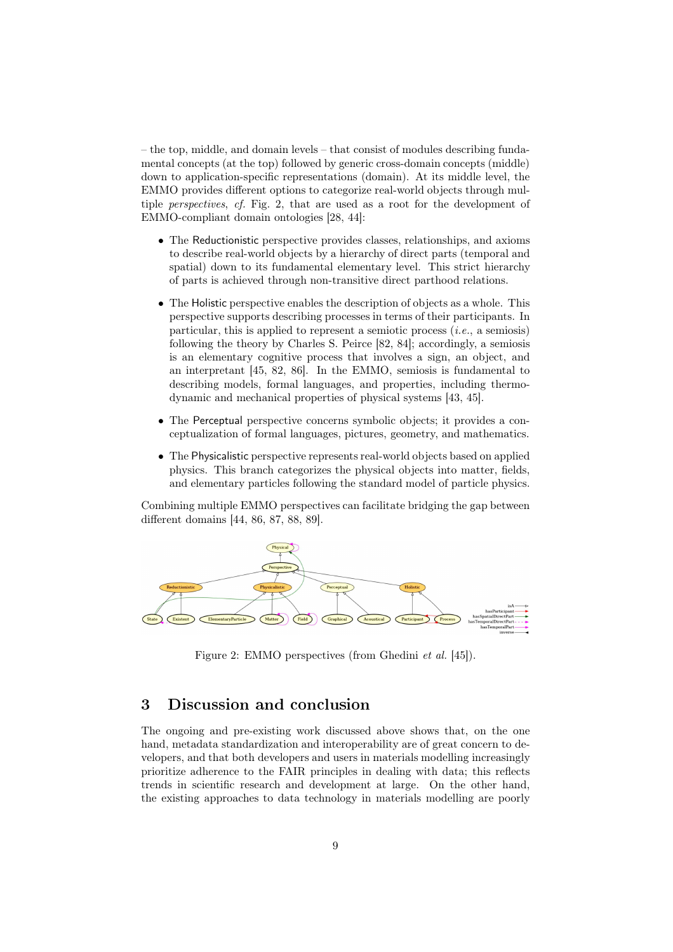– the top, middle, and domain levels – that consist of modules describing fundamental concepts (at the top) followed by generic cross-domain concepts (middle) down to application-specific representations (domain). At its middle level, the EMMO provides different options to categorize real-world objects through multiple perspectives, cf. Fig. 2, that are used as a root for the development of EMMO-compliant domain ontologies [28, 44]:

- The Reductionistic perspective provides classes, relationships, and axioms to describe real-world objects by a hierarchy of direct parts (temporal and spatial) down to its fundamental elementary level. This strict hierarchy of parts is achieved through non-transitive direct parthood relations.
- The Holistic perspective enables the description of objects as a whole. This perspective supports describing processes in terms of their participants. In particular, this is applied to represent a semiotic process  $(i.e., a$  semiosis) following the theory by Charles S. Peirce [82, 84]; accordingly, a semiosis is an elementary cognitive process that involves a sign, an object, and an interpretant [45, 82, 86]. In the EMMO, semiosis is fundamental to describing models, formal languages, and properties, including thermodynamic and mechanical properties of physical systems [43, 45].
- The Perceptual perspective concerns symbolic objects; it provides a conceptualization of formal languages, pictures, geometry, and mathematics.
- The Physicalistic perspective represents real-world objects based on applied physics. This branch categorizes the physical objects into matter, fields, and elementary particles following the standard model of particle physics.

Combining multiple EMMO perspectives can facilitate bridging the gap between different domains [44, 86, 87, 88, 89].



Figure 2: EMMO perspectives (from Ghedini et al. [45]).

# <sup>3</sup> Dis
ussion and on
lusion

The ongoing and pre-existing work discussed above shows that, on the one hand, metadata standardization and interoperability are of great concern to developers, and that both developers and users in materials modelling increasingly prioritize adherence to the FAIR principles in dealing with data; this reflects trends in scientific research and development at large. On the other hand, the existing approaches to data technology in materials modelling are poorly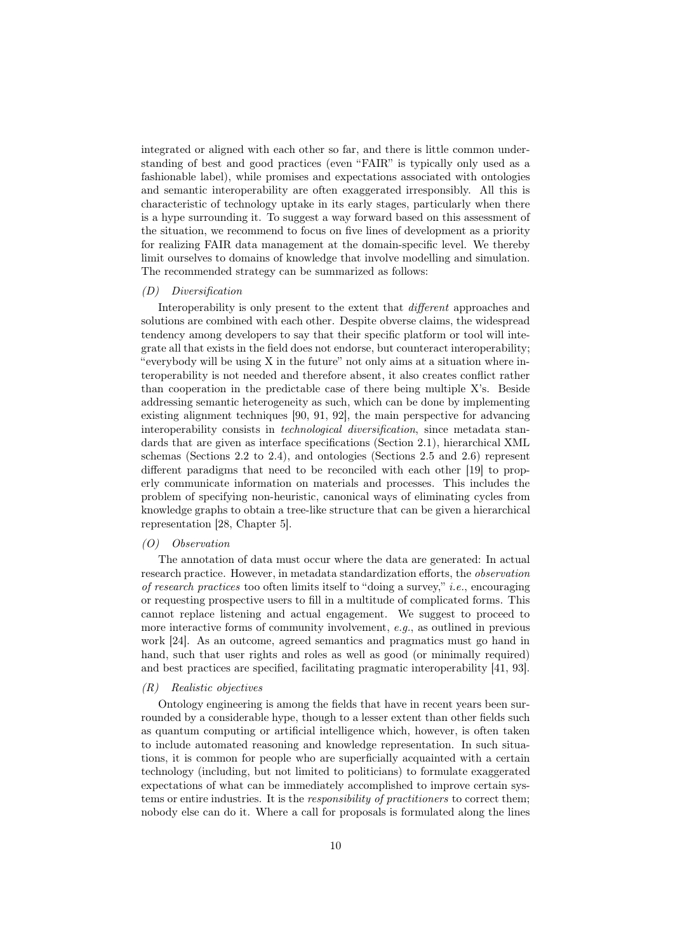integrated or aligned with each other so far, and there is little common understanding of best and good practices (even "FAIR" is typically only used as a fashionable label), while promises and expectations associated with ontologies and semantic interoperability are often exaggerated irresponsibly. All this is characteristic of technology uptake in its early stages, particularly when there is a hype surrounding it. To suggest a way forward based on this assessment of the situation, we recommend to focus on five lines of development as a priority for realizing FAIR data management at the domain-specific level. We thereby limit ourselves to domains of knowledge that involve modelling and simulation. The recommended strategy can be summarized as follows:

#### (D) Diversification

Interoperability is only present to the extent that *different* approaches and solutions are combined with each other. Despite obverse claims, the widespread tendency among developers to say that their specific platform or tool will integrate all that exists in the field does not endorse, but counteract interoperability; "everybody will be using X in the future" not only aims at a situation where interoperability is not needed and therefore absent, it also creates conflict rather than cooperation in the predictable case of there being multiple X's. Beside addressing semantic heterogeneity as such, which can be done by implementing existing alignment techniques [90, 91, 92], the main perspective for advancing interoperability consists in technological diversification, since metadata standards that are given as interface specifications (Section 2.1), hierarchical XML schemas (Sections 2.2 to 2.4), and ontologies (Sections 2.5 and 2.6) represent different paradigms that need to be reconciled with each other [19] to properly communicate information on materials and processes. This includes the problem of specifying non-heuristic, canonical ways of eliminating cycles from knowledge graphs to obtain a tree-like structure that can be given a hierarchical representation [28, Chapter 5].

#### (O) Observation

The annotation of data must occur where the data are generated: In actual research practice. However, in metadata standardization efforts, the observation of research practices too often limits itself to "doing a survey," i.e., encouraging or requesting prospective users to fill in a multitude of complicated forms. This cannot replace listening and actual engagement. We suggest to proceed to more interactive forms of community involvement, e.g., as outlined in previous work [24]. As an outcome, agreed semantics and pragmatics must go hand in hand, such that user rights and roles as well as good (or minimally required) and best practices are specified, facilitating pragmatic interoperability [41, 93].

#### (R) Realistic objectives

Ontology engineering is among the fields that have in recent years been surrounded by a considerable hype, though to a lesser extent than other fields such as quantum computing or artificial intelligence which, however, is often taken to include automated reasoning and knowledge representation. In such situations, it is common for people who are superficially acquainted with a certain technology (including, but not limited to politicians) to formulate exaggerated expectations of what can be immediately accomplished to improve certain systems or entire industries. It is the responsibility of practitioners to correct them; nobody else can do it. Where a call for proposals is formulated along the lines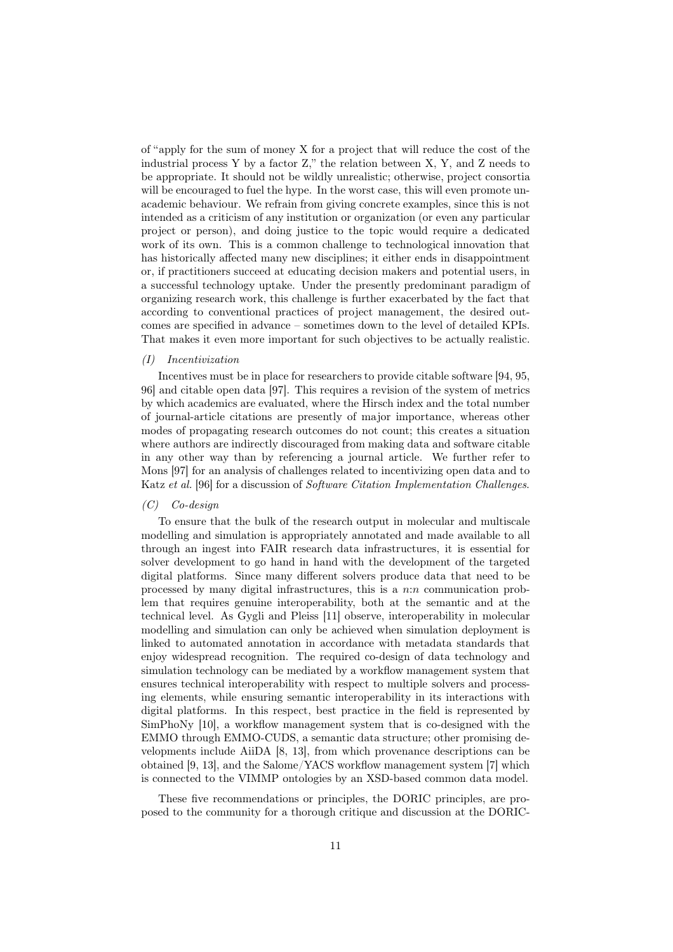of "apply for the sum of money X for a project that will reduce the cost of the industrial process Y by a factor Z," the relation between X, Y, and Z needs to be appropriate. It should not be wildly unrealistic; otherwise, project consortia will be encouraged to fuel the hype. In the worst case, this will even promote unacademic behaviour. We refrain from giving concrete examples, since this is not intended as a criticism of any institution or organization (or even any particular project or person), and doing justice to the topic would require a dedicated work of its own. This is a common challenge to technological innovation that has historically affected many new disciplines; it either ends in disappointment or, if practitioners succeed at educating decision makers and potential users, in a successful technology uptake. Under the presently predominant paradigm of organizing research work, this challenge is further exacerbated by the fact that according to conventional practices of project management, the desired outcomes are specified in advance – sometimes down to the level of detailed KPIs. That makes it even more important for such objectives to be actually realistic.

#### (I) Incentivization

Incentives must be in place for researchers to provide citable software [94, 95, 96] and citable open data [97]. This requires a revision of the system of metrics by which academics are evaluated, where the Hirsch index and the total number of journal-article citations are presently of major importance, whereas other modes of propagating research outcomes do not count; this creates a situation where authors are indirectly discouraged from making data and software citable in any other way than by referencing a journal article. We further refer to Mons [97] for an analysis of challenges related to incentivizing open data and to Katz et al. [96] for a discussion of *Software Citation Implementation Challenges*.

#### (C) Co-design

To ensure that the bulk of the research output in molecular and multiscale modelling and simulation is appropriately annotated and made available to all through an ingest into FAIR research data infrastructures, it is essential for solver development to go hand in hand with the development of the targeted digital platforms. Since many different solvers produce data that need to be processed by many digital infrastructures, this is a  $n:n$  communication problem that requires genuine interoperability, both at the semantic and at the technical level. As Gygli and Pleiss [11] observe, interoperability in molecular modelling and simulation can only be achieved when simulation deployment is linked to automated annotation in accordance with metadata standards that enjoy widespread recognition. The required co-design of data technology and simulation technology can be mediated by a workflow management system that ensures technical interoperability with respect to multiple solvers and processing elements, while ensuring semantic interoperability in its interactions with digital platforms. In this respect, best practice in the field is represented by SimPhoNy [10], a workflow management system that is co-designed with the EMMO through EMMO-CUDS, a semantic data structure; other promising developments include AiiDA [8, 13], from which provenance descriptions can be obtained [9, 13], and the Salome/YACS workflow management system [7] which is connected to the VIMMP ontologies by an XSD-based common data model.

These five recommendations or principles, the DORIC principles, are proposed to the community for a thorough critique and discussion at the DORIC-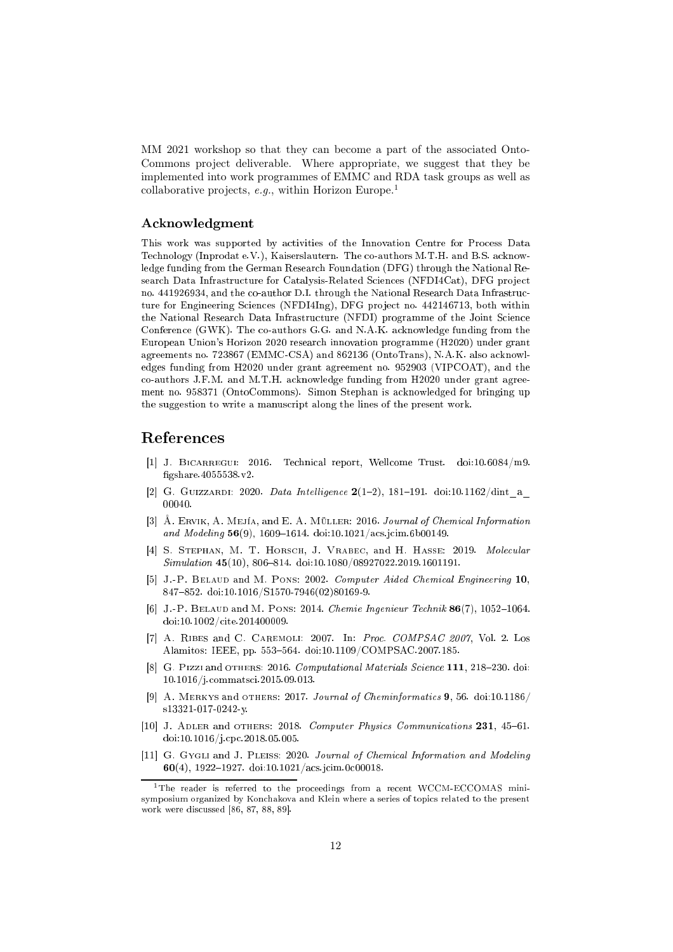MM 2021 workshop so that they can become a part of the associated Onto-Commons project deliverable. Where appropriate, we suggest that they be implemented into work programmes of EMMC and RDA task groups as well as collaborative projects,  $e.g.,$  within Horizon Europe.<sup>1</sup>

### A
knowledgment

This work was supported by a
tivities of the Innovation Centre for Pro
ess Data Technology (Inprodat e.V.), Kaiserslautern. The co-authors M.T.H. and B.S. acknowledge funding from the German Research Foundation (DFG) through the National Research Data Infrastructure for Catalysis-Related Sciences (NFDI4Cat), DFG project no. 441926934, and the co-author D.I. through the National Research Data Infrastructure for Engineering Sciences (NFDI4Ing), DFG project no. 442146713, both within the National Research Data Infrastructure (NFDI) programme of the Joint Science Conference (GWK). The co-authors G.G. and N.A.K. acknowledge funding from the European Union's Horizon 2020 resear
h innovation programme (H2020) under grant agreements no. 723867 (EMMC-CSA) and 862136 (OntoTrans), N.A.K. also acknowledges funding from H2020 under grant agreement no. 952903 (VIPCOAT), and the co-authors J.F.M. and M.T.H. acknowledge funding from H2020 under grant agreement no. 958371 (OntoCommons). Simon Stephan is a
knowledged for bringing up the suggestion to write a manus
ript along the lines of the present work.

# Referen
es

- [1] J. BICARREGUI: 2016. Technical report, Wellcome Trust. doi:10.6084/m9. gshare.4055538.v2.
- [2] G. GUIZZARDI: 2020. Data Intelligence  $2(1-2)$ , 181-191. doi:10.1162/dint a 00040.
- [3]  $\AA$ . ERVIK, A. MEJÍA, and E. A. MÜLLER: 2016. Journal of Chemical Information and Modeling  $56(9)$ , 1609–1614. doi:10.1021/acs.jcim.6b00149.
- [4] S. STEPHAN, M. T. HORSCH, J. VRABEC, and H. HASSE: 2019. Molecular  $Simulation$  45(10), 806-814. doi:10.1080/08927022.2019.1601191.
- [5] J.-P. BELAUD and M. PONS: 2002. Computer Aided Chemical Engineering 10, 847-852. doi:10.1016/S1570-7946(02)80169-9.
- [6] J.-P. BELAUD and M. PONS: 2014. Chemie Ingenieur Technik  $86(7)$ , 1052–1064. doi:10.1002/
ite.201400009.
- [7] A. RIBES and C. CAREMOLI: 2007. In: Proc.  $COMPSAC$  2007, Vol. 2. Los Alamitos: IEEE, pp. 553-564. doi:10.1109/COMPSAC.2007.185.
- [8] G. Pizzi and  $\sigma$ THERS: 2016. *Computational Materials Science* 111, 218–230. doi: 10.1016/j.
ommats
i.2015.09.013.
- [9] A. MERKYS and OTHERS: 2017. Journal of Cheminformatics  $9, 56.$  doi:10.1186/ s13321-017-0242-y.
- [10] J. ADLER and OTHERS: 2018. Computer Physics Communications  $231$ ,  $45-61$ . doi:10.1016/j.
p
.2018.05.005.
- [11] G. Gygli and J. Pleiss: 2020. Journal of Chemical Information and Modeling  $60(4)$ , 1922-1927. doi:10.1021/acs.jcim.0c00018.

<sup>&</sup>lt;sup>1</sup>The reader is referred to the proceedings from a recent WCCM-ECCOMAS minisymposium organized by Kon
hakova and Klein where a series of topi
s related to the present work were discussed [86, 87, 88, 89].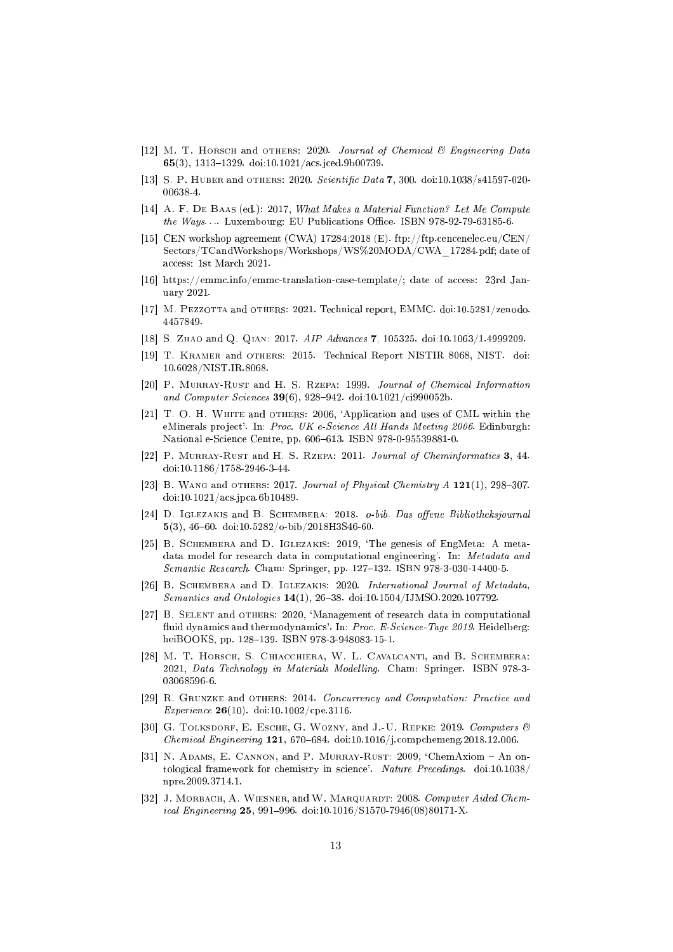- [12] M. T. HORSCH and OTHERS: 2020. Journal of Chemical  $\mathcal B$  Engineering Data 65(3), 1313-1329. doi:10.1021/acs.jced.9b00739.
- [13] S. P. HUBER and OTHERS: 2020. Scientific Data 7, 300. doi:10.1038/s41597-020-00638-4.
- [14] A. F. DE BAAS (ed.): 2017, What Makes a Material Function? Let Me Compute  $the \ Ways...$  Luxembourg: EU Publications Office. ISBN 978-92-79-63185-6.
- [15] CEN workshop agreement (CWA)  $17284:2018$  (E). ftp://ftp.cencenelec.eu/CEN/ Sectors/TCandWorkshops/Workshops/WS%20MODA/CWA\_17284.pdf; date of access: 1st March 2021.
- [16] https://emmc.info/emmc-translation-case-template/; date of access: 23rd January 2021.
- [17] M. PEZZOTTA and OTHERS: 2021. Technical report, EMMC. doi:10.5281/zenodo. 4457849.
- [18] S. ZHAO and Q. QIAN: 2017. AIP Advances 7, 105325. doi:10.1063/1.4999209.
- [19] T. KRAMER and OTHERS: 2015. Technical Report NISTIR 8068, NIST. doi: 10.6028/NIST.IR.8068.
- [20] P. MURRAY-RUST and H. S. RZEPA: 1999. Journal of Chemical Information and Computer Sciences 39(6), 928-942. doi:10.1021/ci990052b.
- [21] T. O. H. WHITE and OTHERS: 2006, 'Application and uses of CML within the eMinerals project'. In: Proc. UK e-Science All Hands Meeting 2006. Edinburgh: National e-Science Centre, pp. 606-613. ISBN 978-0-95539881-0.
- [22] P. MURRAY-RUST and H. S. RZEPA: 2011. Journal of Cheminformatics 3, 44. doi:10.1186/1758-2946-3-44.
- [23] B. WANG and OTHERS: 2017. Journal of Physical Chemistry  $A$  121(1), 298-307. doi:10.1021/a
s.jp
a.6b10489.
- [24] D. IGLEZAKIS and B. SCHEMBERA: 2018. o-bib. Das offene Bibliotheksjournal 5(3), 46-60. doi:10.5282/o-bib/2018H3S46-60.
- [25] B. SCHEMBERA and D. IGLEZAKIS: 2019, 'The genesis of EngMeta: A metadata model for resear
h data in omputational engineering'. In: Metadata and Semantic Research. Cham: Springer, pp. 127-132. ISBN 978-3-030-14400-5.
- [26] B. SCHEMBERA and D. IGLEZAKIS: 2020. International Journal of Metadata,  $Semantics\ and\ Ontologies\ {\bf 14(1)},\ {\bf 26-38.\ }\ doi:10.1504/IJMSO.2020.107792.$
- [27] B. SELENT and OTHERS: 2020, 'Management of research data in computational fluid dynamics and thermodynamics'. In: Proc. E-Science-Tage 2019. Heidelberg: heiBOOKS, pp. 128-139. ISBN 978-3-948083-15-1.
- [28] M. T. HORSCH, S. CHIACCHIERA, W. L. CAVALCANTI, and B. SCHEMBERA: 2021, Data Technology in Materials Modelling. Cham: Springer. ISBN 978-3-03068596-6.
- [29] R. GRUNZKE and OTHERS: 2014. Concurrency and Computation: Practice and *Experience* 26(10). doi:10.1002/cpe.3116.
- [30] G. TOLKSDORF, E. ESCHE, G. WOZNY, and J.-U. REPKE: 2019. Computers  $\mathcal{B}$  $Chemical Engineering 121, 670-684. \text{ doi: } 10.1016/j.compchemeng. 2018.12.006.$
- [31] N. ADAMS, E. CANNON, and P. MURRAY-RUST:  $2009$ , 'ChemAxiom  $-$  An ontological framework for chemistry in science'. Nature Precedings. doi:10.1038/ npre.2009.3714.1.
- [32] J. MORBACH, A. WIESNER, and W. MARQUARDT: 2008. Computer Aided Chemical Engineering 25, 991-996. doi:10.1016/S1570-7946(08)80171-X.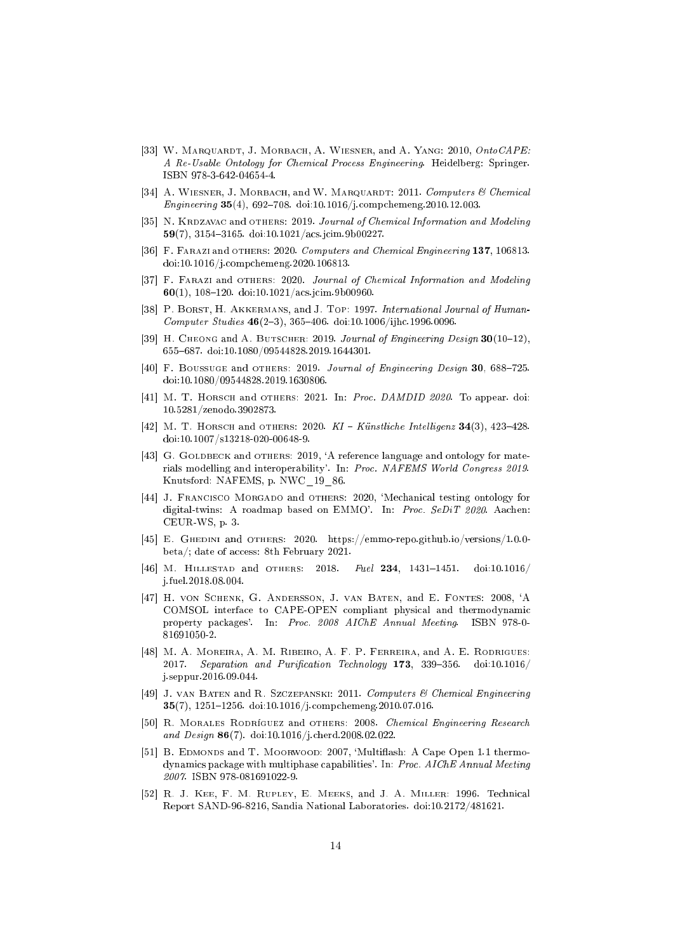- [33] W. MARQUARDT, J. MORBACH, A. WIESNER, and A. YANG: 2010, OntoCAPE: A Re-Usable Ontology for Chemi
al Pro
ess Engineering. Heidelberg: Springer. ISBN 978-3-642-04654-4.
- [34] A. WIESNER, J. MORBACH, and W. MARQUARDT: 2011. Computers & Chemical Engineering 35(4), 692-708. doi:10.1016/j.compchemeng.2010.12.003.
- [35] N. KRDZAVAC and OTHERS: 2019. Journal of Chemical Information and Modeling 59(7), 3154-3165. doi:10.1021/acs.jcim.9b00227.
- [36] F. FARAZI and OTHERS: 2020. Computers and Chemical Engineering 137, 106813. doi:10.1016/j.
omp
hemeng.2020.106813.
- [37] F. FARAZI and OTHERS: 2020. Journal of Chemical Information and Modeling  $60(1)$ , 108-120. doi:10.1021/acs.jcim.9b00960.
- [38] P. BORST, H. AKKERMANS, and J. TOP: 1997. International Journal of Human-Computer Studies  $46(2-3)$ , 365-406. doi:10.1006/ijhc.1996.0096.
- [39] H. CHEONG and A. BUTSCHER: 2019. Journal of Engineering Design  $30(10-12)$ , 655687. doi:10.1080/09544828.2019.1644301.
- [40] F. Boussuge and OTHERS: 2019. Journal of Engineering Design  $30, 688-725$ . doi:10.1080/09544828.2019.1630806.
- [41] M. T. HORSCH and OTHERS: 2021. In: Proc. DAMDID 2020. To appear. doi: 10.5281/zenodo.3902873.
- [42] M. T. HORSCH and OTHERS: 2020.  $KI$  Künstliche Intelligenz 34(3), 423-428. doi:10.1007/s13218-020-00648-9.
- [43] G. GOLDBECK and OTHERS: 2019, 'A reference language and ontology for materials modelling and interoperability'. In: Pro
. NAFEMS World Congress 2019. Knutsford: NAFEMS, p. NWC\_19\_86.
- [44] J. FRANCISCO MORGADO and OTHERS: 2020, 'Mechanical testing ontology for digital-twins: A roadmap based on EMMO'. In: *Proc. SeDiT 2020*. Aachen: CEUR-WS, p. 3.
- [45] E. GHEDINI and OTHERS: 2020. https://emmo-repo.github.io/versions/1.0.0beta/; date of access: 8th February 2021.
- [46] M. HILLESTAD and OTHERS: 2018. Fuel 234, 1431-1451. doi:10.1016/ j.fuel.2018.08.004.
- [47] H. von Schenk, G. Andersson, J. van Baten, and E. Fontes: 2008, 'A COMSOL interface to CAPE-OPEN compliant physical and thermodynamic property packages'. In: Proc. 2008 AIChE Annual Meeting. ISBN 978-0-81691050-2.
- [48] M. A. MOREIRA, A. M. RIBEIRO, A. F. P. FERREIRA, and A. E. RODRIGUES: 2017. Separation and Purification Technology 173, 339-356. doi:10.1016/ j.seppur.2016.09.044.
- [49] J. VAN BATEN and R. SZCZEPANSKI: 2011. Computers & Chemical Engineering 35(7), 1251-1256. doi:10.1016/j.compchemeng.2010.07.016.
- [50] R. MORALES RODRÍGUEZ and OTHERS: 2008. Chemical Engineering Research and Design 86(7). doi:10.1016/j.
herd.2008.02.022.
- [51] B. EDMONDS and T. MOORWOOD: 2007, 'Multiflash: A Cape Open 1.1 thermodynami
s pa
kage with multiphase apabilities'. In: Pro
. AIChE Annual Meeting 2007. ISBN 978-081691022-9.
- [52] R. J. KEE, F. M. RUPLEY, E. MEEKS, and J. A. MILLER: 1996. Technical Report SAND-96-8216, Sandia National Laboratories. doi:10.2172/481621.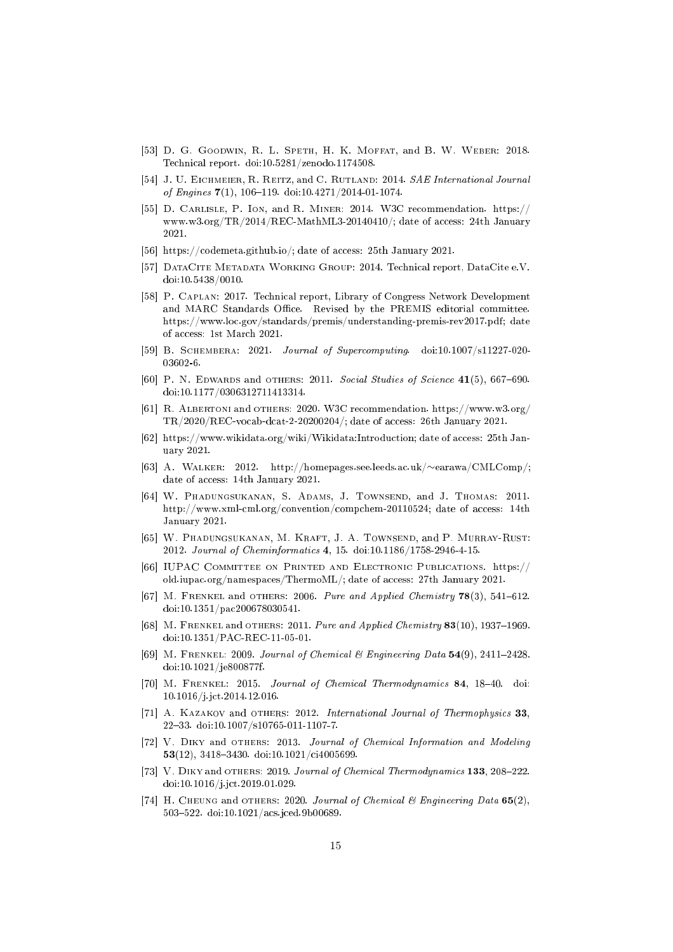- [53] D. G. GOODWIN, R. L. SPETH, H. K. MOFFAT, and B. W. WEBER: 2018. Te
hni
al report. doi:10.5281/zenodo.1174508.
- [54] J. U. EICHMEIER, R. REITZ, and C. RUTLAND: 2014. SAE International Journal of Engines  $7(1)$ , 106-119. doi:10.4271/2014-01-1074.
- [55] D. CARLISLE, P. Ion, and R. MINER: 2014. W3C recommendation. https:// www.w3.org/TR/2014/REC-MathML3-20140410/; date of access: 24th January 2021.
- [56] https://codemeta.github.io/; date of access: 25th January 2021.
- [57] DATACITE METADATA WORKING GROUP: 2014. Technical report, DataCite e.V. doi:10.5438/0010.
- [58] P. CAPLAN: 2017. Technical report, Library of Congress Network Development and MARC Standards Office. Revised by the PREMIS editorial committee. https://www.lo
.gov/standards/premis/understanding-premis-rev2017.pdf; date of access: 1st March 2021.
- [59] B. SCHEMBERA: 2021. Journal of Supercomputing. doi:10.1007/s11227-020-03602-6.
- [60] P. N. EDWARDS and OTHERS: 2011. Social Studies of Science  $41(5)$ , 667-690. doi:10.1177/0306312711413314.
- [61] R. ALBERTONI and OTHERS: 2020. W3C recommendation. https://www.w3.org/ TR/2020/REC-vo
ab-d
at-2-20200204/; date of a

ess: 26th January 2021.
- [62] https://www.wikidata.org/wiki/Wikidata:Introduction; date of access: 25th January 2021.
- [63] А. WALKER: 2012. http://homepages.see.leeds.ac.uk/∼earawa/CMLComp/; date of access: 14th January 2021.
- [64] W. PHADUNGSUKANAN, S. ADAMS, J. TOWNSEND, and J. THOMAS: 2011. http://www.xml-cml.org/convention/compchem-20110524; date of access: 14th January 2021.
- [65] W. PHADUNGSUKANAN, M. KRAFT, J. A. TOWNSEND, and P. MURRAY-RUST: 2012. Journal of Cheminformatics 4, 15. doi:10.1186/1758-2946-4-15.
- [66] IUPAC COMMITTEE ON PRINTED AND ELECTRONIC PUBLICATIONS. https:// old.iupac.org/namespaces/ThermoML/; date of access: 27th January 2021.
- [67] M. FRENKEL and OTHERS: 2006. Pure and Applied Chemistry  $78(3)$ , 541-612. doi:10.1351/pa
200678030541.
- [68] M. FRENKEL and OTHERS: 2011. Pure and Applied Chemistry  $83(10)$ , 1937–1969. doi:10.1351/PAC-REC-11-05-01.
- [69] M. FRENKEL: 2009. Journal of Chemical & Engineering Data  $54(9)$ , 2411-2428. doi:10.1021/je800877f.
- [70] M. FRENKEL: 2015. Journal of Chemical Thermodynamics 84, 18-40. doi: 10.1016/j.j
t.2014.12.016.
- [71] A. KAZAKOV and OTHERS: 2012. International Journal of Thermophysics  $33$ , 2233. doi:10.1007/s10765-011-1107-7.
- [72] V. DIKY and OTHERS: 2013. Journal of Chemical Information and Modeling 53(12), 3418-3430. doi:10.1021/ci4005699.
- [73] V. DIKY and OTHERS: 2019. Journal of Chemical Thermodynamics 133, 208-222. doi:10.1016/j.j
t.2019.01.029.
- [74] H. CHEUNG and OTHERS: 2020. Journal of Chemical & Engineering Data  $65(2)$ , 503522. doi:10.1021/a
s.j
ed.9b00689.